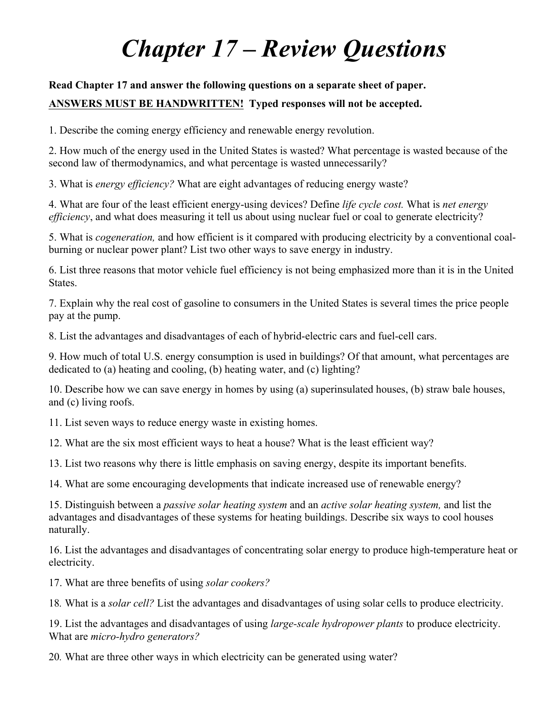## *Chapter 17 – Review Questions*

## **Read Chapter 17 and answer the following questions on a separate sheet of paper. ANSWERS MUST BE HANDWRITTEN! Typed responses will not be accepted.**

1. Describe the coming energy efficiency and renewable energy revolution.

2. How much of the energy used in the United States is wasted? What percentage is wasted because of the second law of thermodynamics, and what percentage is wasted unnecessarily?

3. What is *energy efficiency?* What are eight advantages of reducing energy waste?

4. What are four of the least efficient energy-using devices? Define *life cycle cost.* What is *net energy efficiency*, and what does measuring it tell us about using nuclear fuel or coal to generate electricity?

5. What is *cogeneration,* and how efficient is it compared with producing electricity by a conventional coalburning or nuclear power plant? List two other ways to save energy in industry.

6. List three reasons that motor vehicle fuel efficiency is not being emphasized more than it is in the United States.

7. Explain why the real cost of gasoline to consumers in the United States is several times the price people pay at the pump.

8. List the advantages and disadvantages of each of hybrid-electric cars and fuel-cell cars.

9. How much of total U.S. energy consumption is used in buildings? Of that amount, what percentages are dedicated to (a) heating and cooling, (b) heating water, and (c) lighting?

10. Describe how we can save energy in homes by using (a) superinsulated houses, (b) straw bale houses, and (c) living roofs.

11. List seven ways to reduce energy waste in existing homes.

12. What are the six most efficient ways to heat a house? What is the least efficient way?

13. List two reasons why there is little emphasis on saving energy, despite its important benefits.

14. What are some encouraging developments that indicate increased use of renewable energy?

15. Distinguish between a *passive solar heating system* and an *active solar heating system,* and list the advantages and disadvantages of these systems for heating buildings. Describe six ways to cool houses naturally.

16. List the advantages and disadvantages of concentrating solar energy to produce high-temperature heat or electricity.

17. What are three benefits of using *solar cookers?*

18*.* What is a *solar cell?* List the advantages and disadvantages of using solar cells to produce electricity.

19. List the advantages and disadvantages of using *large-scale hydropower plants* to produce electricity. What are *micro-hydro generators?*

20*.* What are three other ways in which electricity can be generated using water?